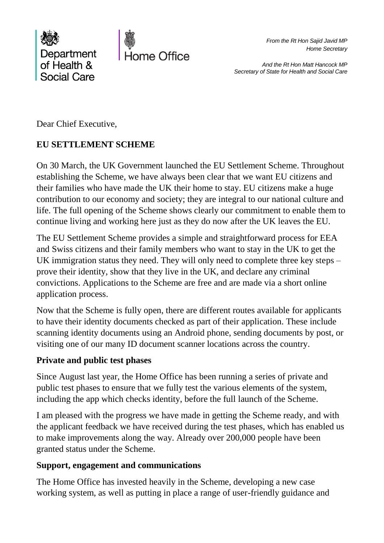

*From the Rt Hon Sajid Javid MP Home Secretary*

*And the Rt Hon Matt Hancock MP Secretary of State for Health and Social Care*

Dear Chief Executive,

# **EU SETTLEMENT SCHEME**

On 30 March, the UK Government launched the EU Settlement Scheme. Throughout establishing the Scheme, we have always been clear that we want EU citizens and their families who have made the UK their home to stay. EU citizens make a huge contribution to our economy and society; they are integral to our national culture and life. The full opening of the Scheme shows clearly our commitment to enable them to continue living and working here just as they do now after the UK leaves the EU.

The EU Settlement Scheme provides a simple and straightforward process for EEA and Swiss citizens and their family members who want to stay in the UK to get the UK immigration status they need. They will only need to complete three key steps – prove their identity, show that they live in the UK, and declare any criminal convictions. Applications to the Scheme are free and are made via a short online application process.

Now that the Scheme is fully open, there are different routes available for applicants to have their identity documents checked as part of their application. These include scanning identity documents using an Android phone, sending documents by post, or visiting one of our many ID document scanner locations across the country.

# **Private and public test phases**

Since August last year, the Home Office has been running a series of private and public test phases to ensure that we fully test the various elements of the system, including the app which checks identity, before the full launch of the Scheme.

I am pleased with the progress we have made in getting the Scheme ready, and with the applicant feedback we have received during the test phases, which has enabled us to make improvements along the way. Already over 200,000 people have been granted status under the Scheme.

### **Support, engagement and communications**

The Home Office has invested heavily in the Scheme, developing a new case working system, as well as putting in place a range of user-friendly guidance and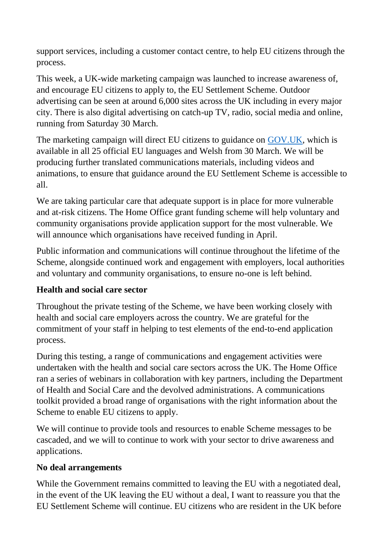support services, including a customer contact centre, to help EU citizens through the process.

This week, a UK-wide marketing campaign was launched to increase awareness of, and encourage EU citizens to apply to, the EU Settlement Scheme. Outdoor advertising can be seen at around 6,000 sites across the UK including in every major city. There is also digital advertising on catch-up TV, radio, social media and online, running from Saturday 30 March.

The marketing campaign will direct EU citizens to guidance on [GOV.UK,](https://www.gov.uk/settled-status-eu-citizens-families) which is available in all 25 official EU languages and Welsh from 30 March. We will be producing further translated communications materials, including videos and animations, to ensure that guidance around the EU Settlement Scheme is accessible to all.

We are taking particular care that adequate support is in place for more vulnerable and at-risk citizens. The Home Office grant funding scheme will help voluntary and community organisations provide application support for the most vulnerable. We will announce which organisations have received funding in April.

Public information and communications will continue throughout the lifetime of the Scheme, alongside continued work and engagement with employers, local authorities and voluntary and community organisations, to ensure no-one is left behind.

# **Health and social care sector**

Throughout the private testing of the Scheme, we have been working closely with health and social care employers across the country. We are grateful for the commitment of your staff in helping to test elements of the end-to-end application process.

During this testing, a range of communications and engagement activities were undertaken with the health and social care sectors across the UK. The Home Office ran a series of webinars in collaboration with key partners, including the Department of Health and Social Care and the devolved administrations. A communications toolkit provided a broad range of organisations with the right information about the Scheme to enable EU citizens to apply.

We will continue to provide tools and resources to enable Scheme messages to be cascaded, and we will to continue to work with your sector to drive awareness and applications.

# **No deal arrangements**

While the Government remains committed to leaving the EU with a negotiated deal, in the event of the UK leaving the EU without a deal, I want to reassure you that the EU Settlement Scheme will continue. EU citizens who are resident in the UK before